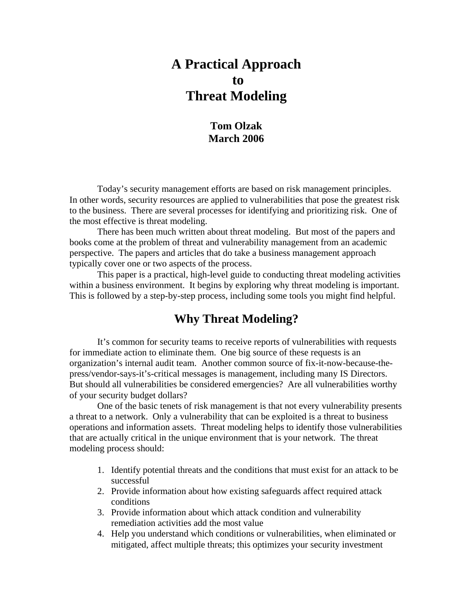# **A Practical Approach to Threat Modeling**

## **Tom Olzak March 2006**

 Today's security management efforts are based on risk management principles. In other words, security resources are applied to vulnerabilities that pose the greatest risk to the business. There are several processes for identifying and prioritizing risk. One of the most effective is threat modeling.

 There has been much written about threat modeling. But most of the papers and books come at the problem of threat and vulnerability management from an academic perspective. The papers and articles that do take a business management approach typically cover one or two aspects of the process.

 This paper is a practical, high-level guide to conducting threat modeling activities within a business environment. It begins by exploring why threat modeling is important. This is followed by a step-by-step process, including some tools you might find helpful.

## **Why Threat Modeling?**

 It's common for security teams to receive reports of vulnerabilities with requests for immediate action to eliminate them. One big source of these requests is an organization's internal audit team. Another common source of fix-it-now-because-thepress/vendor-says-it's-critical messages is management, including many IS Directors. But should all vulnerabilities be considered emergencies? Are all vulnerabilities worthy of your security budget dollars?

 One of the basic tenets of risk management is that not every vulnerability presents a threat to a network. Only a vulnerability that can be exploited is a threat to business operations and information assets. Threat modeling helps to identify those vulnerabilities that are actually critical in the unique environment that is your network. The threat modeling process should:

- 1. Identify potential threats and the conditions that must exist for an attack to be successful
- 2. Provide information about how existing safeguards affect required attack conditions
- 3. Provide information about which attack condition and vulnerability remediation activities add the most value
- 4. Help you understand which conditions or vulnerabilities, when eliminated or mitigated, affect multiple threats; this optimizes your security investment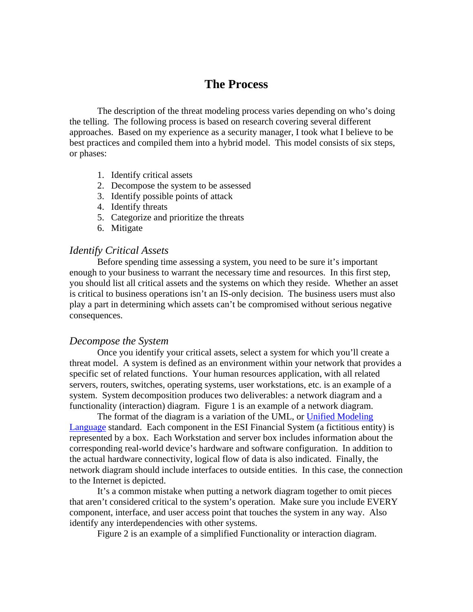## **The Process**

 The description of the threat modeling process varies depending on who's doing the telling. The following process is based on research covering several different approaches. Based on my experience as a security manager, I took what I believe to be best practices and compiled them into a hybrid model. This model consists of six steps, or phases:

- 1. Identify critical assets
- 2. Decompose the system to be assessed
- 3. Identify possible points of attack
- 4. Identify threats
- 5. Categorize and prioritize the threats
- 6. Mitigate

#### *Identify Critical Assets*

Before spending time assessing a system, you need to be sure it's important enough to your business to warrant the necessary time and resources. In this first step, you should list all critical assets and the systems on which they reside. Whether an asset is critical to business operations isn't an IS-only decision. The business users must also play a part in determining which assets can't be compromised without serious negative consequences.

#### *Decompose the System*

Once you identify your critical assets, select a system for which you'll create a threat model. A system is defined as an environment within your network that provides a specific set of related functions. Your human resources application, with all related servers, routers, switches, operating systems, user workstations, etc. is an example of a system. System decomposition produces two deliverables: a network diagram and a functionality (interaction) diagram. Figure 1 is an example of a network diagram.

The format of the diagram is a variation of the UML, or Unified Modeling [Language](http://www.answers.com/main/ntquery?method=4&dsid=2222&dekey=Unified+Modeling+Language&gwp=8&curtab=2222_1&linktext=Unified%20Modeling%20Language) standard. Each component in the ESI Financial System (a fictitious entity) is represented by a box. Each Workstation and server box includes information about the corresponding real-world device's hardware and software configuration. In addition to the actual hardware connectivity, logical flow of data is also indicated. Finally, the network diagram should include interfaces to outside entities. In this case, the connection to the Internet is depicted.

 It's a common mistake when putting a network diagram together to omit pieces that aren't considered critical to the system's operation. Make sure you include EVERY component, interface, and user access point that touches the system in any way. Also identify any interdependencies with other systems.

Figure 2 is an example of a simplified Functionality or interaction diagram.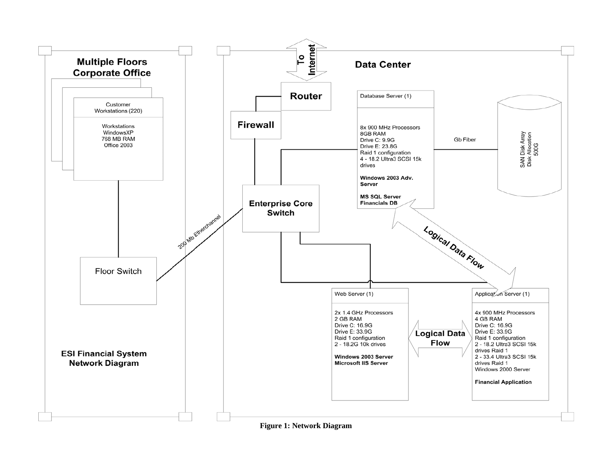

**Figure 1: Network Diagram**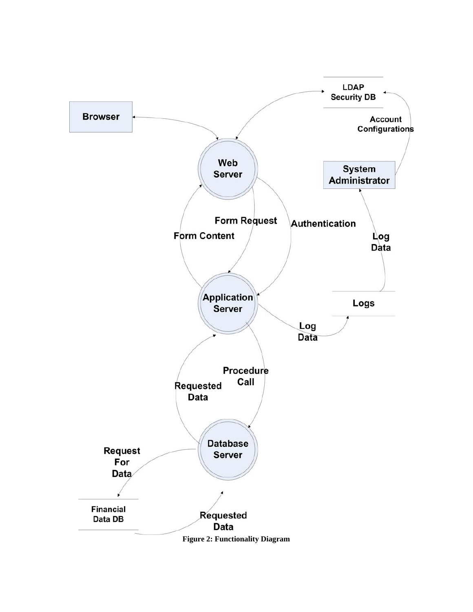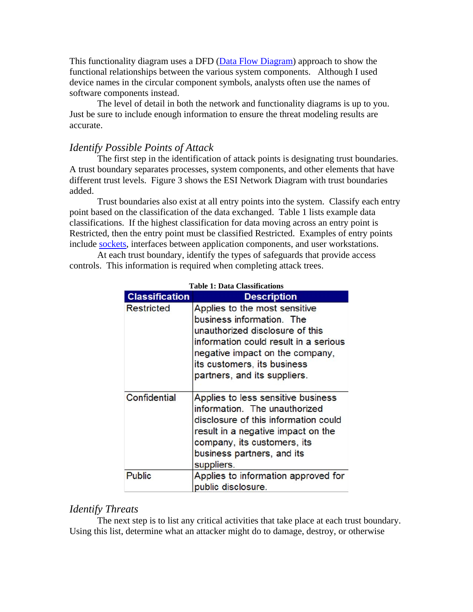This functionality diagram uses a DFD ([Data Flow Diagram](http://www.answers.com/topic/data-flow-diagram?method=22)) approach to show the functional relationships between the various system components. Although I used device names in the circular component symbols, analysts often use the names of software components instead.

 The level of detail in both the network and functionality diagrams is up to you. Just be sure to include enough information to ensure the threat modeling results are accurate.

#### *Identify Possible Points of Attack*

The first step in the identification of attack points is designating trust boundaries. A trust boundary separates processes, system components, and other elements that have different trust levels. Figure 3 shows the ESI Network Diagram with trust boundaries added.

 Trust boundaries also exist at all entry points into the system. Classify each entry point based on the classification of the data exchanged. Table 1 lists example data classifications. If the highest classification for data moving across an entry point is Restricted, then the entry point must be classified Restricted. Examples of entry points include [sockets,](http://en.wikipedia.org/wiki/Socket#Computer_sockets) interfaces between application components, and user workstations.

 At each trust boundary, identify the types of safeguards that provide access controls. This information is required when completing attack trees.

| <b>Classification</b> | <b>Description</b>                                                                                                                                                                                                                       |
|-----------------------|------------------------------------------------------------------------------------------------------------------------------------------------------------------------------------------------------------------------------------------|
| <b>Restricted</b>     | Applies to the most sensitive<br>business information. The<br>unauthorized disclosure of this<br>information could result in a serious<br>negative impact on the company,<br>its customers, its business<br>partners, and its suppliers. |
| Confidential          | Applies to less sensitive business<br>information. The unauthorized<br>disclosure of this information could<br>result in a negative impact on the<br>company, its customers, its<br>business partners, and its<br>suppliers.             |
| <b>Public</b>         | Applies to information approved for<br>public disclosure.                                                                                                                                                                                |

**Table 1: Data Classifications** 

#### *Identify Threats*

The next step is to list any critical activities that take place at each trust boundary. Using this list, determine what an attacker might do to damage, destroy, or otherwise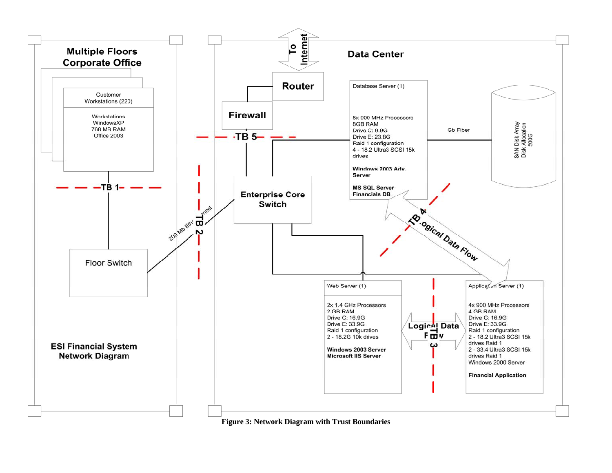

#### **Figure 3: Network Diagram with Trust Boundaries**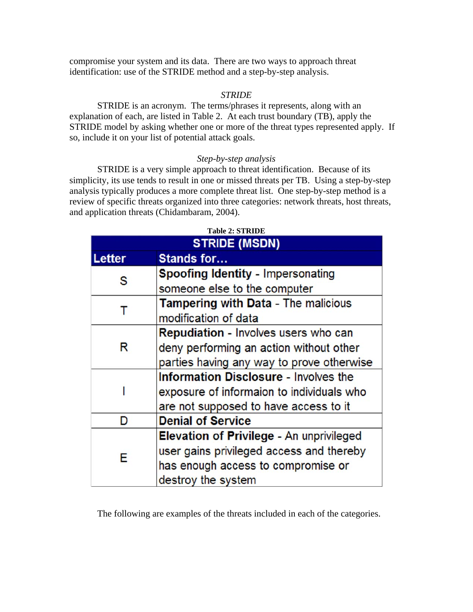compromise your system and its data. There are two ways to approach threat identification: use of the STRIDE method and a step-by-step analysis.

#### *STRIDE*

 STRIDE is an acronym. The terms/phrases it represents, along with an explanation of each, are listed in Table 2. At each trust boundary (TB), apply the STRIDE model by asking whether one or more of the threat types represented apply. If so, include it on your list of potential attack goals.

#### *Step-by-step analysis*

STRIDE is a very simple approach to threat identification. Because of its simplicity, its use tends to result in one or missed threats per TB. Using a step-by-step analysis typically produces a more complete threat list. One step-by-step method is a review of specific threats organized into three categories: network threats, host threats, and application threats (Chidambaram, 2004).

|        | <b>STRIDE (MSDN)</b>                            |  |  |
|--------|-------------------------------------------------|--|--|
| Letter | <b>Stands for</b>                               |  |  |
| S      | <b>Spoofing Identity - Impersonating</b>        |  |  |
|        | someone else to the computer                    |  |  |
| т      | Tampering with Data - The malicious             |  |  |
|        | modification of data                            |  |  |
| R      | <b>Repudiation - Involves users who can</b>     |  |  |
|        | deny performing an action without other         |  |  |
|        | parties having any way to prove otherwise       |  |  |
|        | <b>Information Disclosure - Involves the</b>    |  |  |
|        | exposure of informaion to individuals who       |  |  |
|        | are not supposed to have access to it           |  |  |
| D      | <b>Denial of Service</b>                        |  |  |
| E      | <b>Elevation of Privilege - An unprivileged</b> |  |  |
|        | user gains privileged access and thereby        |  |  |
|        | has enough access to compromise or              |  |  |
|        | destroy the system                              |  |  |

The following are examples of the threats included in each of the categories.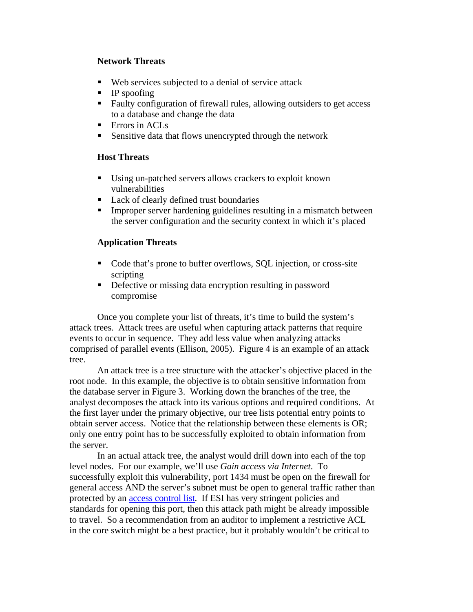#### **Network Threats**

- Web services subjected to a denial of service attack
- $\blacksquare$  IP spoofing
- Faulty configuration of firewall rules, allowing outsiders to get access to a database and change the data
- **Errors in ACLs**
- **Sensitive data that flows unencrypted through the network**

### **Host Threats**

- Using un-patched servers allows crackers to exploit known vulnerabilities
- Lack of clearly defined trust boundaries
- **IMPROPERENT** Improper server hardening guidelines resulting in a mismatch between the server configuration and the security context in which it's placed

### **Application Threats**

- Code that's prone to buffer overflows, SQL injection, or cross-site scripting
- **•** Defective or missing data encryption resulting in password compromise

Once you complete your list of threats, it's time to build the system's attack trees. Attack trees are useful when capturing attack patterns that require events to occur in sequence. They add less value when analyzing attacks comprised of parallel events (Ellison, 2005). Figure 4 is an example of an attack tree.

An attack tree is a tree structure with the attacker's objective placed in the root node. In this example, the objective is to obtain sensitive information from the database server in Figure 3. Working down the branches of the tree, the analyst decomposes the attack into its various options and required conditions. At the first layer under the primary objective, our tree lists potential entry points to obtain server access. Notice that the relationship between these elements is OR; only one entry point has to be successfully exploited to obtain information from the server.

In an actual attack tree, the analyst would drill down into each of the top level nodes. For our example, we'll use *Gain access via Internet*. To successfully exploit this vulnerability, port 1434 must be open on the firewall for general access AND the server's subnet must be open to general traffic rather than protected by an [access control list](http://en.wikipedia.org/wiki/Access_control_list). If ESI has very stringent policies and standards for opening this port, then this attack path might be already impossible to travel. So a recommendation from an auditor to implement a restrictive ACL in the core switch might be a best practice, but it probably wouldn't be critical to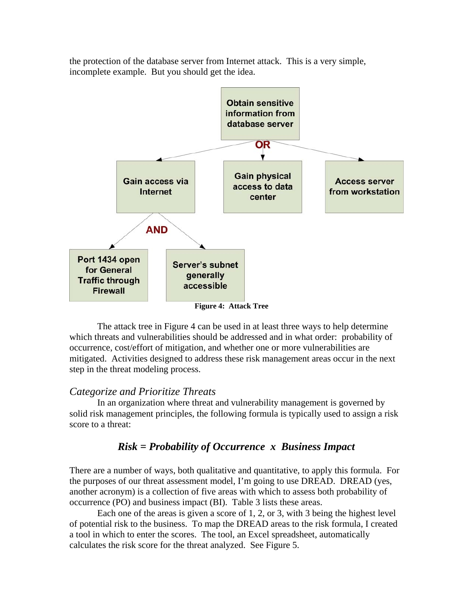the protection of the database server from Internet attack. This is a very simple, incomplete example. But you should get the idea.



The attack tree in Figure 4 can be used in at least three ways to help determine which threats and vulnerabilities should be addressed and in what order: probability of occurrence, cost/effort of mitigation, and whether one or more vulnerabilities are mitigated. Activities designed to address these risk management areas occur in the next step in the threat modeling process.

#### *Categorize and Prioritize Threats*

 In an organization where threat and vulnerability management is governed by solid risk management principles, the following formula is typically used to assign a risk score to a threat:

### *Risk = Probability of Occurrence x Business Impact*

There are a number of ways, both qualitative and quantitative, to apply this formula. For the purposes of our threat assessment model, I'm going to use DREAD. DREAD (yes, another acronym) is a collection of five areas with which to assess both probability of occurrence (PO) and business impact (BI). Table 3 lists these areas.

 Each one of the areas is given a score of 1, 2, or 3, with 3 being the highest level of potential risk to the business. To map the DREAD areas to the risk formula, I created a tool in which to enter the scores. The tool, an Excel spreadsheet, automatically calculates the risk score for the threat analyzed. See Figure 5.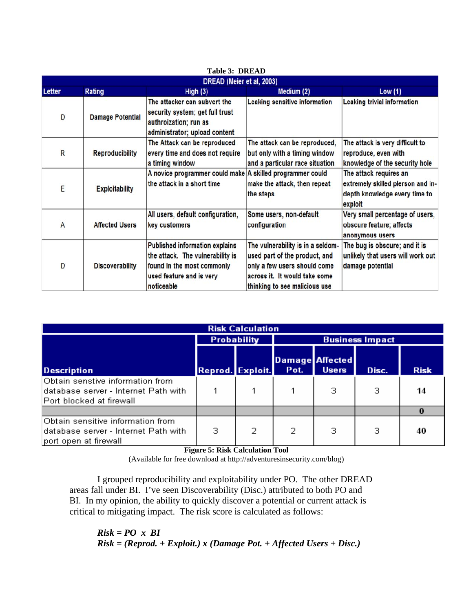| DREAD (Meier et al, 2003) |                         |                                                                                                                                                   |                                                                                                                                                                      |                                                                                                         |
|---------------------------|-------------------------|---------------------------------------------------------------------------------------------------------------------------------------------------|----------------------------------------------------------------------------------------------------------------------------------------------------------------------|---------------------------------------------------------------------------------------------------------|
| Letter                    | <b>Rating</b>           | High(3)                                                                                                                                           | Medium (2)                                                                                                                                                           | Low(1)                                                                                                  |
| D                         | <b>Damage Potential</b> | The attacker can subvert the<br>security system; get full trust<br>authroization; run as<br>administrator; upload content                         | Leaking sensitive information                                                                                                                                        | <b>Leaking trivial information</b>                                                                      |
| $\overline{\mathsf{R}}$   | <b>Reproducibility</b>  | The Attack can be reproduced<br>every time and does not require<br>a timing window                                                                | The attack can be reproduced,<br>but only with a timing window<br>and a particular race situation                                                                    | The attack is very difficult to<br>reproduce, even with<br>knowledge of the security hole               |
| E                         | <b>Exploitability</b>   | A novice programmer could make A skilled programmer could<br>the attack in a short time                                                           | make the attack, then repeat<br>the steps                                                                                                                            | The attack requires an<br>extremely skilled plerson and in-<br>depth knowledge every time to<br>exploit |
| A                         | <b>Affected Users</b>   | All users, default configuration,<br>key customers                                                                                                | Some users, non-default<br>configuration                                                                                                                             | Very small percentage of users,<br>obscure feature; affects<br>anonymous users                          |
| D                         | <b>Discoverability</b>  | <b>Published information explains</b><br>the attack. The vulnerability is<br>found in the most commonly<br>used feature and is very<br>noticeable | The vulnerability is in a seldom-<br>used part of the product, and<br>only a few users should come<br>across it. It would take some<br>thinking to see malicious use | The bug is obscure; and it is<br>unlikely that users will work out<br>damage potential                  |

| <b>Table 3: DREAD</b> |
|-----------------------|
|-----------------------|

| <b>Risk Calculation</b>                                                                               |                    |   |                        |                                        |       |             |
|-------------------------------------------------------------------------------------------------------|--------------------|---|------------------------|----------------------------------------|-------|-------------|
|                                                                                                       | <b>Probability</b> |   | <b>Business Impact</b> |                                        |       |             |
| <b>Description</b>                                                                                    | Reprod. Exploit.   |   | Pot.                   | <b>Damage Affected</b><br><b>Users</b> | Disc. | <b>Risk</b> |
| Obtain senstive information from<br>database server - Internet Path with.<br>Port blocked at firewall |                    |   |                        | з                                      | з     | 14          |
|                                                                                                       |                    |   |                        |                                        |       |             |
| Obtain sensitive information from<br>database server - Internet Path with<br>port open at firewall    | з                  | 2 | 2                      | з                                      | З     | 40          |

**Figure 5: Risk Calculation Tool** 

(Available for free download at http://adventuresinsecurity.com/blog)

 I grouped reproducibility and exploitability under PO. The other DREAD areas fall under BI. I've seen Discoverability (Disc.) attributed to both PO and BI. In my opinion, the ability to quickly discover a potential or current attack is critical to mitigating impact. The risk score is calculated as follows:

*Risk = PO x BI Risk = (Reprod. + Exploit.) x (Damage Pot. + Affected Users + Disc.)*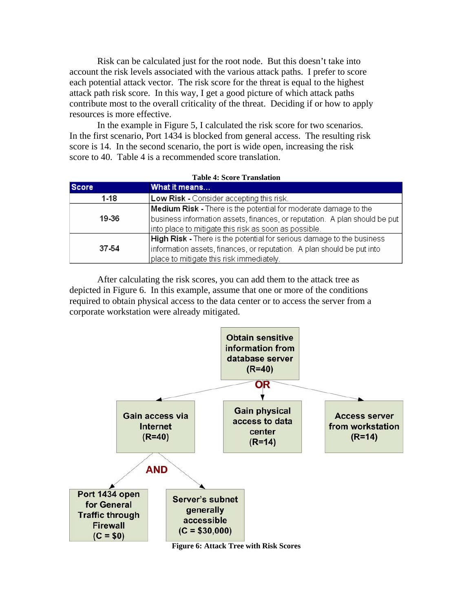Risk can be calculated just for the root node. But this doesn't take into account the risk levels associated with the various attack paths. I prefer to score each potential attack vector. The risk score for the threat is equal to the highest attack path risk score. In this way, I get a good picture of which attack paths contribute most to the overall criticality of the threat. Deciding if or how to apply resources is more effective.

 In the example in Figure 5, I calculated the risk score for two scenarios. In the first scenario, Port 1434 is blocked from general access. The resulting risk score is 14. In the second scenario, the port is wide open, increasing the risk score to 40. Table 4 is a recommended score translation.

| <b>Table 4: Score Translation</b> |                                                                                    |  |
|-----------------------------------|------------------------------------------------------------------------------------|--|
| <b>Score</b>                      | What it means                                                                      |  |
| 1-18                              | Low Risk - Consider accepting this risk.                                           |  |
|                                   | <b>Medium Risk</b> - There is the potential for moderate damage to the             |  |
| 19 36                             | $ $ business information assets, finances, or reputation. A plan should be put $ $ |  |
|                                   | into place to mitigate this risk as soon as possible.                              |  |
| 37 54                             | <b>High Risk</b> - There is the potential for serious damage to the business       |  |
|                                   | information assets, finances, or reputation. A plan should be put into             |  |
|                                   | place to mitigate this risk immediately.                                           |  |

 After calculating the risk scores, you can add them to the attack tree as depicted in Figure 6. In this example, assume that one or more of the conditions required to obtain physical access to the data center or to access the server from a corporate workstation were already mitigated.



**Figure 6: Attack Tree with Risk Scores**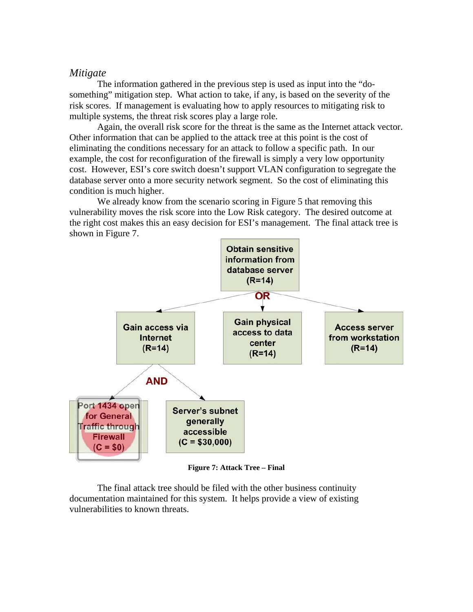#### *Mitigate*

 The information gathered in the previous step is used as input into the "dosomething" mitigation step. What action to take, if any, is based on the severity of the risk scores. If management is evaluating how to apply resources to mitigating risk to multiple systems, the threat risk scores play a large role.

 Again, the overall risk score for the threat is the same as the Internet attack vector. Other information that can be applied to the attack tree at this point is the cost of eliminating the conditions necessary for an attack to follow a specific path. In our example, the cost for reconfiguration of the firewall is simply a very low opportunity cost. However, ESI's core switch doesn't support VLAN configuration to segregate the database server onto a more security network segment. So the cost of eliminating this condition is much higher.

We already know from the scenario scoring in Figure 5 that removing this vulnerability moves the risk score into the Low Risk category. The desired outcome at the right cost makes this an easy decision for ESI's management. The final attack tree is shown in Figure 7.



**Figure 7: Attack Tree – Final** 

 The final attack tree should be filed with the other business continuity documentation maintained for this system. It helps provide a view of existing vulnerabilities to known threats.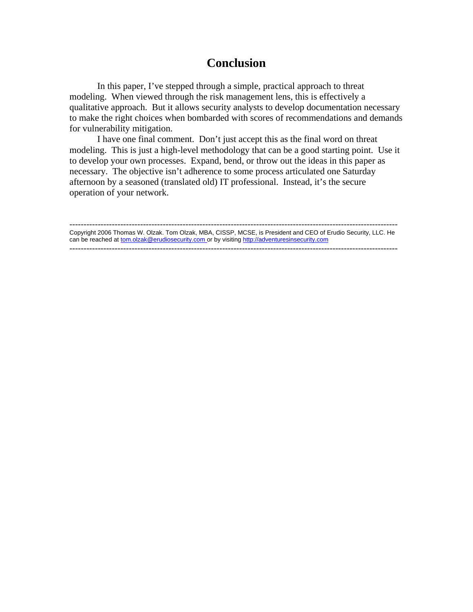## **Conclusion**

 In this paper, I've stepped through a simple, practical approach to threat modeling. When viewed through the risk management lens, this is effectively a qualitative approach. But it allows security analysts to develop documentation necessary to make the right choices when bombarded with scores of recommendations and demands for vulnerability mitigation.

 I have one final comment. Don't just accept this as the final word on threat modeling. This is just a high-level methodology that can be a good starting point. Use it to develop your own processes. Expand, bend, or throw out the ideas in this paper as necessary. The objective isn't adherence to some process articulated one Saturday afternoon by a seasoned (translated old) IT professional. Instead, it's the secure operation of your network.

-------------------------------------------------------------------------------------------------------------------- Copyright 2006 Thomas W. Olzak. Tom Olzak, MBA, CISSP, MCSE, is President and CEO of Erudio Security, LLC. He can be reached at tom.olzak@erudiosecurity.com or by visiting http://adventuresinsecurity.com --------------------------------------------------------------------------------------------------------------------